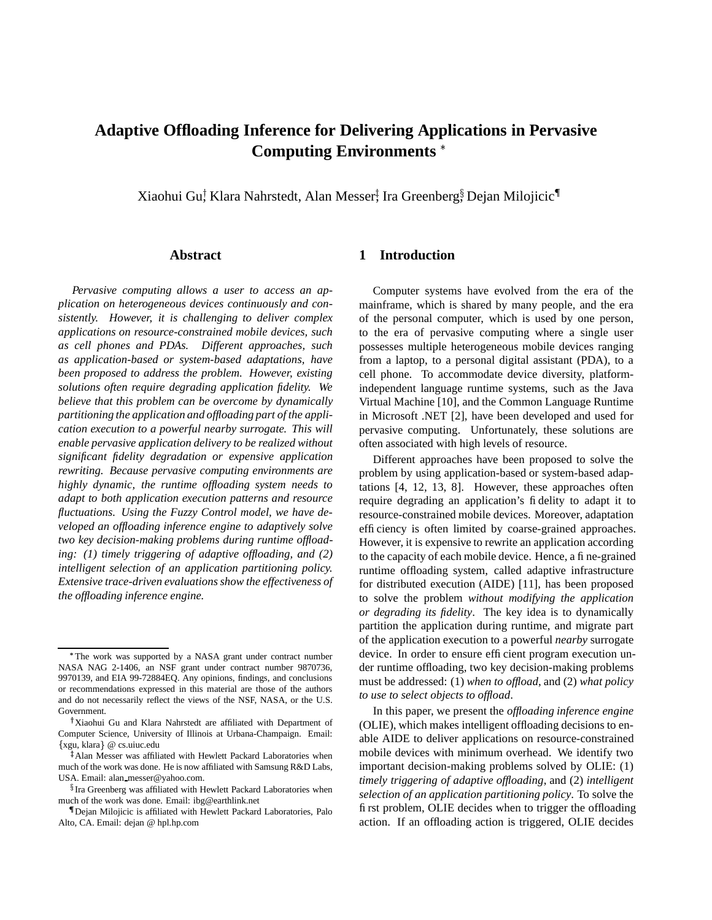# **Adaptive Offloading Inference for Delivering Applications in Pervasive Computing Environments**

Xiaohui Gu<sup>†</sup> Klara Nahrstedt, Alan Messer‡ Ira Greenberg∮ Dejan Milojicic¶

## **Abstract**

*Pervasive computing allows a user to access an application on heterogeneous devices continuously and consistently. However, it is challenging to deliver complex applications on resource-constrained mobile devices, such as cell phones and PDAs. Different approaches, such as application-based or system-based adaptations, have been proposed to address the problem. However, existing solutions often require degrading application fidelity. We believe that this problem can be overcome by dynamically partitioning the application and offloading part of the application execution to a powerful nearby surrogate. This will enable pervasive application delivery to be realized without significant fidelity degradation or expensive application rewriting. Because pervasive computing environments are highly dynamic, the runtime offloading system needs to adapt to both application execution patterns and resource fluctuations. Using the Fuzzy Control model, we have developed an offloading inference engine to adaptively solve two key decision-making problems during runtime offloading: (1) timely triggering of adaptive offloading, and (2) intelligent selection of an application partitioning policy. Extensive trace-driven evaluationsshow the effectiveness of the offloading inference engine.*

## **1 Introduction**

Computer systems have evolved from the era of the mainframe, which is shared by many people, and the era of the personal computer, which is used by one person, to the era of pervasive computing where a single user possesses multiple heterogeneous mobile devices ranging from a laptop, to a personal digital assistant (PDA), to a cell phone. To accommodate device diversity, platformindependent language runtime systems, such as the Java Virtual Machine [10], and the Common Language Runtime in Microsoft .NET [2], have been developed and used for pervasive computing. Unfortunately, these solutions are often associated with high levels of resource.

Different approaches have been proposed to solve the problem by using application-based or system-based adaptations [4, 12, 13, 8]. However, these approaches often require degrading an application's fidelity to adapt it to resource-constrained mobile devices. Moreover, adaptation efficiency is often limited by coarse-grained approaches. However, it is expensive to rewrite an application according to the capacity of each mobile device. Hence, a fine-grained runtime offloading system, called adaptive infrastructure for distributed execution (AIDE) [11], has been proposed to solve the problem *without modifying the application or degrading its fidelity*. The key idea is to dynamically partition the application during runtime, and migrate part of the application execution to a powerful *nearby* surrogate device. In order to ensure efficient program execution under runtime offloading, two key decision-making problems must be addressed: (1) *when to offload*, and (2) *what policy to use to select objects to offload*.

In this paper, we present the *offloading inference engine* (OLIE), which makes intelligent offloading decisions to enable AIDE to deliver applications on resource-constrained mobile devices with minimum overhead. We identify two important decision-making problems solved by OLIE: (1) *timely triggering of adaptive offloading*, and (2) *intelligent selection of an application partitioning policy*. To solve the first problem, OLIE decides when to trigger the offloading action. If an offloading action is triggered, OLIE decides

The work was supported by a NASA grant under contract number NASA NAG 2-1406, an NSF grant under contract number 9870736, 9970139, and EIA 99-72884EQ. Any opinions, findings, and conclusions or recommendations expressed in this material are those of the authors and do not necessarily reflect the views of the NSF, NASA, or the U.S. Government.

Xiaohui Gu and Klara Nahrstedt are affiliated with Department of Computer Science, University of Illinois at Urbana-Champaign. Email: xgu, klara @ cs.uiuc.edu

 Alan Messer was affiliated with Hewlett Packard Laboratories when much of the work was done. He is now affiliated with Samsung R&D Labs, USA. Email: alan messer@yahoo.com.

 $\S$ Ira Greenberg was affiliated with Hewlett Packard Laboratories when much of the work was done. Email: ibg@earthlink.net

Dejan Milojicic is affiliated with Hewlett Packard Laboratories, Palo Alto, CA. Email: dejan @ hpl.hp.com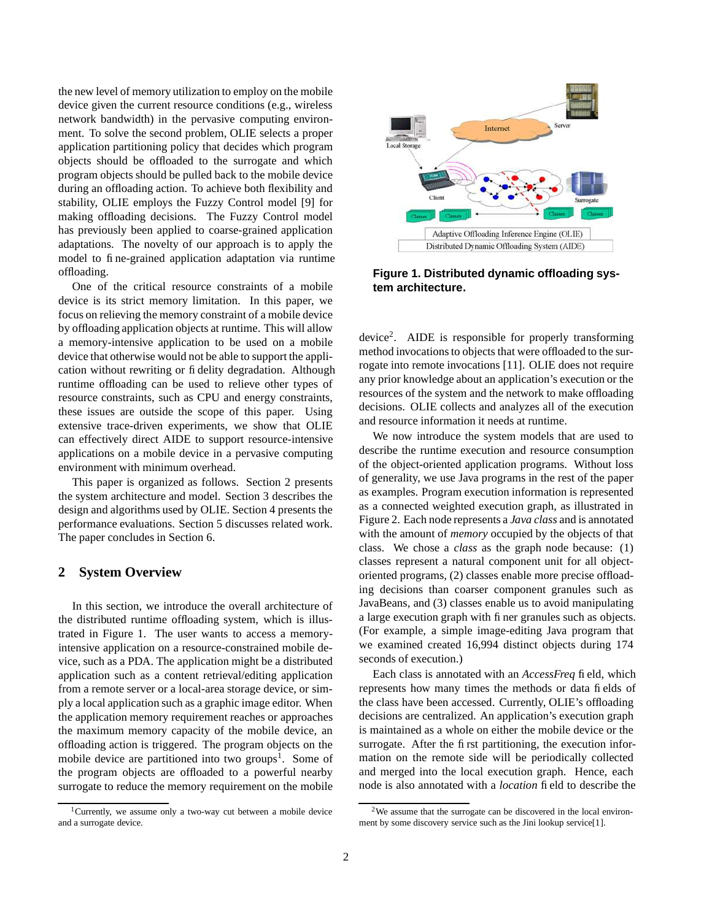the new level of memory utilization to employ on the mobile device given the current resource conditions (e.g., wireless network bandwidth) in the pervasive computing environment. To solve the second problem, OLIE selects a proper application partitioning policy that decides which program objects should be offloaded to the surrogate and which program objects should be pulled back to the mobile device during an offloading action. To achieve both flexibility and stability, OLIE employs the Fuzzy Control model [9] for making offloading decisions. The Fuzzy Control model has previously been applied to coarse-grained application adaptations. The novelty of our approach is to apply the model to fine-grained application adaptation via runtime offloading.

One of the critical resource constraints of a mobile device is its strict memory limitation. In this paper, we focus on relieving the memory constraint of a mobile device by offloading application objects at runtime. This will allow a memory-intensive application to be used on a mobile device that otherwise would not be able to support the application without rewriting or fidelity degradation. Although runtime offloading can be used to relieve other types of resource constraints, such as CPU and energy constraints, these issues are outside the scope of this paper. Using extensive trace-driven experiments, we show that OLIE can effectively direct AIDE to support resource-intensive applications on a mobile device in a pervasive computing environment with minimum overhead.

This paper is organized as follows. Section 2 presents the system architecture and model. Section 3 describes the design and algorithms used by OLIE. Section 4 presents the performance evaluations. Section 5 discusses related work. The paper concludes in Section 6.

## **2 System Overview**

In this section, we introduce the overall architecture of the distributed runtime offloading system, which is illustrated in Figure 1. The user wants to access a memoryintensive application on a resource-constrained mobile device, such as a PDA. The application might be a distributed application such as a content retrieval/editing application from a remote server or a local-area storage device, or simply a local application such as a graphic image editor. When the application memory requirement reaches or approaches the maximum memory capacity of the mobile device, an offloading action is triggered. The program objects on the mobile device are partitioned into two groups<sup>1</sup>. Some of the program objects are offloaded to a powerful nearby surrogate to reduce the memory requirement on the mobile





**Figure 1. Distributed dynamic offloading system architecture.**

device<sup>2</sup>. AIDE is responsible for properly transforming method invocations to objects that were offloaded to the surrogate into remote invocations [11]. OLIE does not require any prior knowledge about an application's execution or the resources of the system and the network to make offloading decisions. OLIE collects and analyzes all of the execution and resource information it needs at runtime.

We now introduce the system models that are used to describe the runtime execution and resource consumption of the object-oriented application programs. Without loss of generality, we use Java programs in the rest of the paper as examples. Program execution information is represented as a connected weighted execution graph, as illustrated in Figure 2. Each node represents a *Java class* and is annotated with the amount of *memory* occupied by the objects of that class. We chose a *class* as the graph node because: (1) classes represent a natural component unit for all objectoriented programs, (2) classes enable more precise offloading decisions than coarser component granules such as JavaBeans, and (3) classes enable us to avoid manipulating a large execution graph with finer granules such as objects. (For example, a simple image-editing Java program that we examined created 16,994 distinct objects during 174 seconds of execution.)

Each class is annotated with an *AccessFreq* field, which represents how many times the methods or data fields of the class have been accessed. Currently, OLIE's offloading decisions are centralized. An application's execution graph is maintained as a whole on either the mobile device or the surrogate. After the first partitioning, the execution information on the remote side will be periodically collected and merged into the local execution graph. Hence, each node is also annotated with a *location* field to describe the

<sup>&</sup>lt;sup>2</sup>We assume that the surrogate can be discovered in the local environment by some discovery service such as the Jini lookup service[1].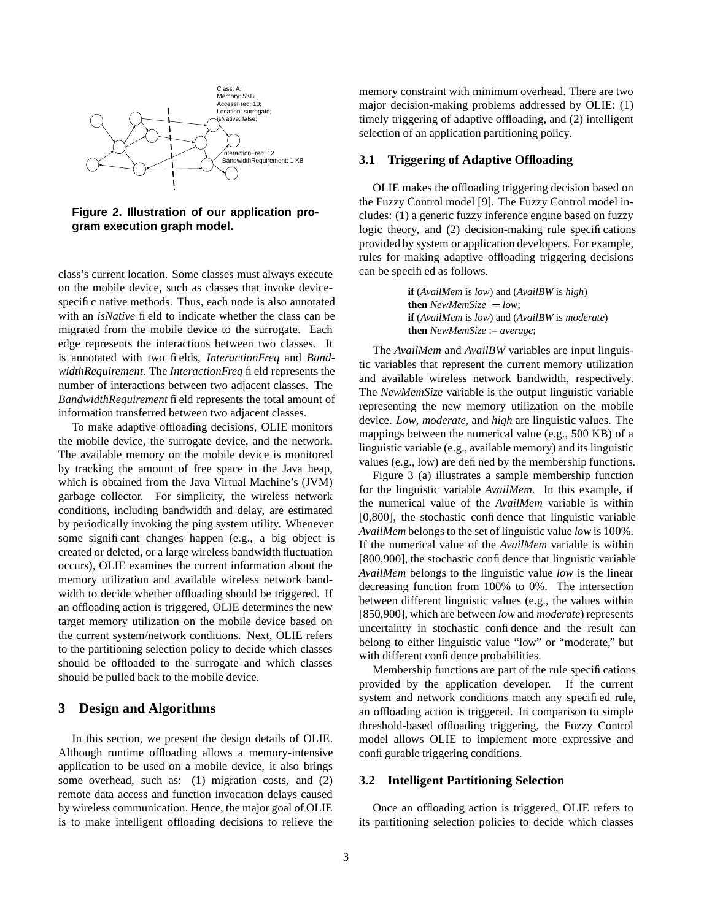

**Figure 2. Illustration of our application program execution graph model.**

class's current location. Some classes must always execute on the mobile device, such as classes that invoke devicespecific native methods. Thus, each node is also annotated with an *isNative* field to indicate whether the class can be migrated from the mobile device to the surrogate. Each edge represents the interactions between two classes. It is annotated with two fields, *InteractionFreq* and *BandwidthRequirement*. The *InteractionFreq* field represents the number of interactions between two adjacent classes. The *BandwidthRequirement* field represents the total amount of information transferred between two adjacent classes.

To make adaptive offloading decisions, OLIE monitors the mobile device, the surrogate device, and the network. The available memory on the mobile device is monitored by tracking the amount of free space in the Java heap, which is obtained from the Java Virtual Machine's (JVM) garbage collector. For simplicity, the wireless network conditions, including bandwidth and delay, are estimated by periodically invoking the ping system utility. Whenever some significant changes happen (e.g., a big object is created or deleted, or a large wireless bandwidth fluctuation occurs), OLIE examines the current information about the memory utilization and available wireless network bandwidth to decide whether offloading should be triggered. If an offloading action is triggered, OLIE determines the new target memory utilization on the mobile device based on the current system/network conditions. Next, OLIE refers to the partitioning selection policy to decide which classes should be offloaded to the surrogate and which classes should be pulled back to the mobile device.

## **3 Design and Algorithms**

In this section, we present the design details of OLIE. Although runtime offloading allows a memory-intensive application to be used on a mobile device, it also brings some overhead, such as: (1) migration costs, and (2) remote data access and function invocation delays caused by wireless communication. Hence, the major goal of OLIE is to make intelligent offloading decisions to relieve the

memory constraint with minimum overhead. There are two major decision-making problems addressed by OLIE: (1) timely triggering of adaptive offloading, and (2) intelligent selection of an application partitioning policy.

#### **3.1 Triggering of Adaptive Offloading**

OLIE makes the offloading triggering decision based on the Fuzzy Control model [9]. The Fuzzy Control model includes: (1) a generic fuzzy inference engine based on fuzzy logic theory, and (2) decision-making rule specifications provided by system or application developers. For example, rules for making adaptive offloading triggering decisions can be specified as follows.

> **if** (*AvailMem* is *low*) and (*AvailBW* is *high*) **then**  $NewMemSize := low$ ; **if** (*AvailMem* is *low*) and (*AvailBW* is *moderate*) **then** *NewMemSize* := *average*;

The *AvailMem* and *AvailBW* variables are input linguistic variables that represent the current memory utilization and available wireless network bandwidth, respectively. The *NewMemSize* variable is the output linguistic variable representing the new memory utilization on the mobile device. *Low*, *moderate*, and *high* are linguistic values. The mappings between the numerical value (e.g., 500 KB) of a linguistic variable (e.g., available memory) and its linguistic values (e.g., low) are defined by the membership functions.

Figure 3 (a) illustrates a sample membership function for the linguistic variable *AvailMem*. In this example, if the numerical value of the *AvailMem* variable is within [0,800], the stochastic confidence that linguistic variable *AvailMem* belongs to the set of linguistic value *low* is 100%. If the numerical value of the *AvailMem* variable is within [800,900], the stochastic confidence that linguistic variable *AvailMem* belongs to the linguistic value *low* is the linear decreasing function from 100% to 0%. The intersection between different linguistic values (e.g., the values within [850,900], which are between *low* and *moderate*) represents uncertainty in stochastic confidence and the result can belong to either linguistic value "low" or "moderate," but with different confidence probabilities.

Membership functions are part of the rule specifications provided by the application developer. If the current system and network conditions match any specified rule, an offloading action is triggered. In comparison to simple threshold-based offloading triggering, the Fuzzy Control model allows OLIE to implement more expressive and configurable triggering conditions.

#### **3.2 Intelligent Partitioning Selection**

Once an offloading action is triggered, OLIE refers to its partitioning selection policies to decide which classes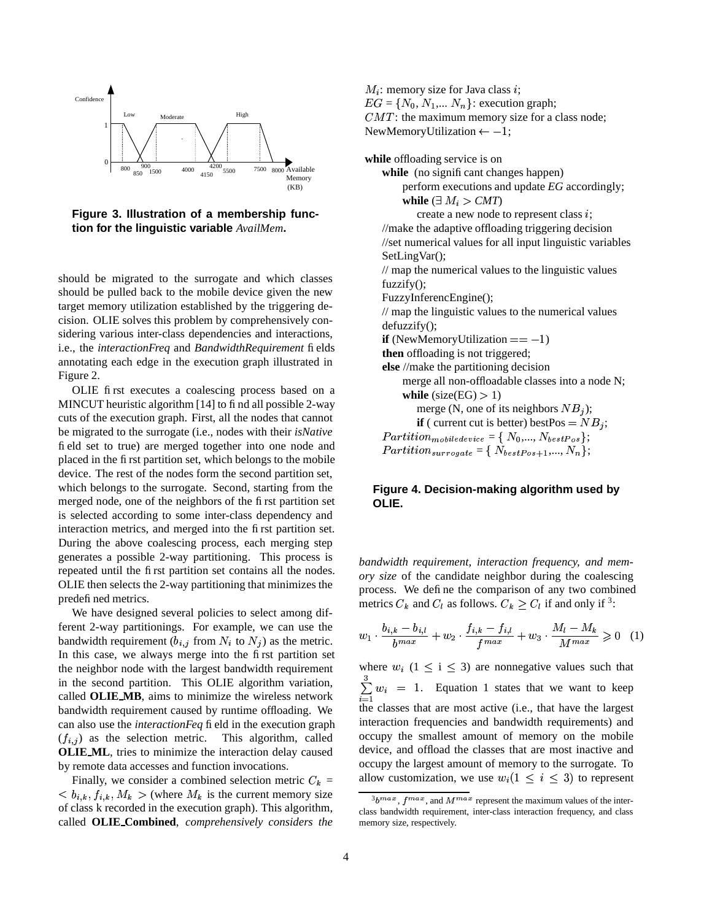

**Figure 3. Illustration of a membership function for the linguistic variable** *AvailMem***.**

should be migrated to the surrogate and which classes should be pulled back to the mobile device given the new target memory utilization established by the triggering decision. OLIE solves this problem by comprehensively considering various inter-class dependencies and interactions, i.e., the *interactionFreq* and *BandwidthRequirement* fields annotating each edge in the execution graph illustrated in Figure 2.

OLIE first executes a coalescing process based on a MINCUT heuristic algorithm [14] to find all possible 2-way cuts of the execution graph. First, all the nodes that cannot be migrated to the surrogate (i.e., nodes with their *isNative* field set to true) are merged together into one node and placed in the first partition set, which belongs to the mobile device. The rest of the nodes form the second partition set, which belongs to the surrogate. Second, starting from the merged node, one of the neighbors of the first partition set is selected according to some inter-class dependency and interaction metrics, and merged into the first partition set. During the above coalescing process, each merging step generates a possible 2-way partitioning. This process is repeated until the first partition set contains all the nodes. OLIE then selects the 2-way partitioning that minimizes the predefined metrics.

We have designed several policies to select among different 2-way partitionings. For example, we can use the bandwidth requirement  $(b_{i,j}$  from  $N_i$  to  $N_j$ ) as the metric. In this case, we always merge into the first partition set the neighbor node with the largest bandwidth requirement in the second partition. This OLIE algorithm variation, called **OLIE MB**, aims to minimize the wireless network bandwidth requirement caused by runtime offloading. We can also use the *interactionFeq* field in the execution graph  $(f_{i,j})$  as the selection metric. This algorithm, called **OLIE ML**, tries to minimize the interaction delay caused by remote data accesses and function invocations.

Finally, we consider a combined selection metric  $C_k =$ **,**  $\langle b_{i,k}, f_{i,k}, M_k>$  **(where**  $M_k$  **is the current memory size** of class k recorded in the execution graph). This algorithm, called **OLIE Combined**, *comprehensively considers the*

 $M_i$ : memory size for Java class i;  $EG = \{ N_0, N_1, \dots N_n \}$ : execution graph;  $CMT$ : the maximum memory size for a class node; NewMemoryUtilization  $\leftarrow -1$ ;

**while** offloading service is on while (no significant changes happen) perform executions and update *EG* accordingly; while  $(\exists M_i > CMT)$ create a new node to represent class  $i$ ; //make the adaptive offloading triggering decision //set numerical values for all input linguistic variables SetLingVar(); // map the numerical values to the linguistic values fuzzify(); FuzzyInferencEngine(); // map the linguistic values to the numerical values defuzzify(); **if** (NewMemoryUtilization  $= -1$ ) **then** offloading is not triggered; **else** //make the partitioning decision merge all non-offloadable classes into a node N; **while** (size(EG)  $> 1$ ) merge (N, one of its neighbors  $NB<sub>j</sub>$ ); **if** ( current cut is better) bestPos =  $NB_j$ ;  $Partition_{mobile device} = \set{N_0, ..., N_{bestPos}};$  $Partition_{surrogate} = \{ \; N_{bestPos+1}, ..., N_n \};$ 

## **Figure 4. Decision-making algorithm used by OLIE.**

*bandwidth requirement, interaction frequency, and memory size* of the candidate neighbor during the coalescing process. We define the comparison of any two combined metrics  $C_k$  and  $C_l$  as follows.  $C_k \geq C_l$  if and only if <sup>3</sup>:

$$
w_1 \cdot \frac{b_{i,k} - b_{i,l}}{b^{max}} + w_2 \cdot \frac{f_{i,k} - f_{i,l}}{f^{max}} + w_3 \cdot \frac{M_l - M_k}{M^{max}} \geq 0 \quad (1)
$$

where  $w_i$  (1  $\leq$  i  $\leq$  3) are nonnegative values such that  $\sum_{i=1}^{\infty} w_i = 1$ . Equatic  $w_i = 1$ . Equation 1 states that we want to keep the classes that are most active (i.e., that have the largest interaction frequencies and bandwidth requirements) and occupy the smallest amount of memory on the mobile device, and offload the classes that are most inactive and occupy the largest amount of memory to the surrogate. To allow customization, we use  $w_i (1 \leq i \leq 3)$  to represent

 $3b^{max}$ ,  $f^{max}$ , and  $M^{max}$  represent the maximum values of the interclass bandwidth requirement, inter-class interaction frequency, and class memory size, respectively.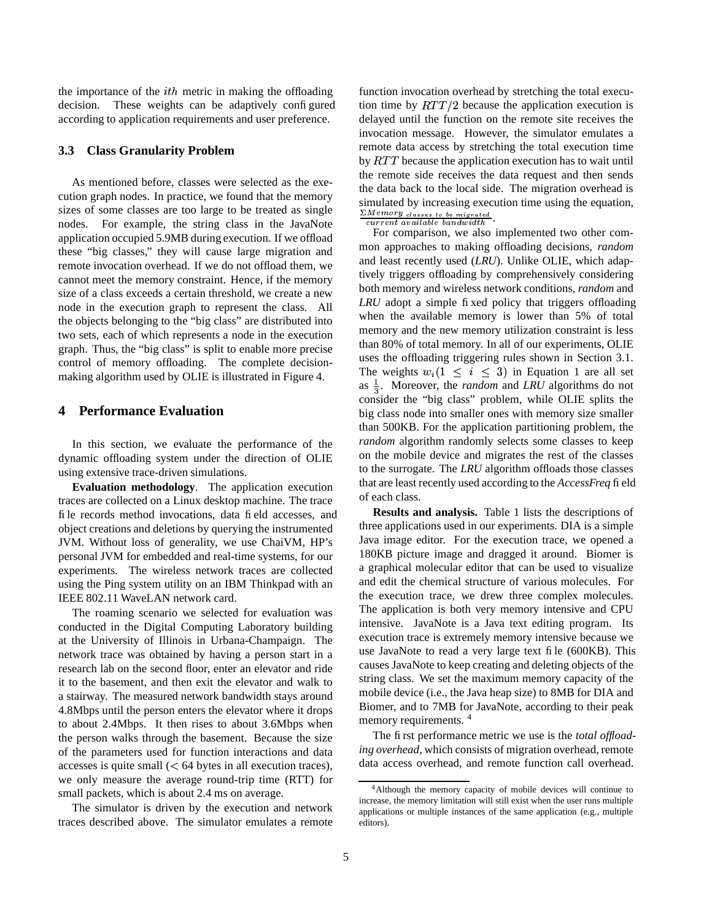the importance of the  $ith$  metric in making the offloading decision. These weights can be adaptively configured according to application requirements and user preference.

#### **3.3 Class Granularity Problem**

As mentioned before, classes were selected as the execution graph nodes. In practice, we found that the memory sizes of some classes are too large to be treated as single nodes. For example, the string class in the JavaNote application occupied 5.9MB during execution. If we offload these "big classes," they will cause large migration and remote invocation overhead. If we do not offload them, we cannot meet the memory constraint. Hence, if the memory size of a class exceeds a certain threshold, we create a new node in the execution graph to represent the class. All the objects belonging to the "big class" are distributed into two sets, each of which represents a node in the execution graph. Thus, the "big class" is split to enable more precise control of memory offloading. The complete decisionmaking algorithm used by OLIE is illustrated in Figure 4.

### **4 Performance Evaluation**

In this section, we evaluate the performance of the dynamic offloading system under the direction of OLIE using extensive trace-driven simulations.

**Evaluation methodology**. The application execution traces are collected on a Linux desktop machine. The trace file records method invocations, data field accesses, and object creations and deletions by querying the instrumented JVM. Without loss of generality, we use ChaiVM, HP's personal JVM for embedded and real-time systems, for our experiments. The wireless network traces are collected using the Ping system utility on an IBM Thinkpad with an IEEE 802.11 WaveLAN network card.

The roaming scenario we selected for evaluation was conducted in the Digital Computing Laboratory building at the University of Illinois in Urbana-Champaign. The network trace was obtained by having a person start in a research lab on the second floor, enter an elevator and ride it to the basement, and then exit the elevator and walk to a stairway. The measured network bandwidth stays around 4.8Mbps until the person enters the elevator where it drops to about 2.4Mbps. It then rises to about 3.6Mbps when the person walks through the basement. Because the size of the parameters used for function interactions and data  $accesses$  is quite small  $(< 64$  bytes in all execution traces), we only measure the average round-trip time (RTT) for small packets, which is about 2.4 ms on average.

The simulator is driven by the execution and network traces described above. The simulator emulates a remote function invocation overhead by stretching the total execution time by  $RTT/2$  because the application execution is delayed until the function on the remote site receives the invocation message. However, the simulator emulates a remote data access by stretching the total execution time by  $RTT$  because the application execution has to wait until the remote side receives the data request and then sends the data back to the local side. The migration overhead is simulated by increasing execution time using the equation,  $\frac{\sum Memory}{classes}$  is more and  $\frac{\sum Memory}{classes}$ .

For comparison, we also implemented two other common approaches to making offloading decisions, *random* and least recently used (*LRU*). Unlike OLIE, which adaptively triggers offloading by comprehensively considering both memory and wireless network conditions, *random* and *LRU* adopt a simple fixed policy that triggers offloading when the available memory is lower than 5% of total memory and the new memory utilization constraint is less than 80% of total memory. In all of our experiments, OLIE uses the offloading triggering rules shown in Section 3.1. The weights  $w_i (1 \leq i \leq 3)$  in Equation 1 are all set as  $\frac{1}{3}$ . Moreover, the *random* and *LRU* algorithms do not consider the "big class" problem, while OLIE splits the big class node into smaller ones with memory size smaller than 500KB. For the application partitioning problem, the *random* algorithm randomly selects some classes to keep on the mobile device and migrates the rest of the classes to the surrogate. The *LRU* algorithm offloads those classes that are least recently used according to the *AccessFreq* field of each class.

**Results and analysis.** Table 1 lists the descriptions of three applications used in our experiments. DIA is a simple Java image editor. For the execution trace, we opened a 180KB picture image and dragged it around. Biomer is a graphical molecular editor that can be used to visualize and edit the chemical structure of various molecules. For the execution trace, we drew three complex molecules. The application is both very memory intensive and CPU intensive. JavaNote is a Java text editing program. Its execution trace is extremely memory intensive because we use JavaNote to read a very large text file (600KB). This causes JavaNote to keep creating and deleting objects of the string class. We set the maximum memory capacity of the mobile device (i.e., the Java heap size) to 8MB for DIA and Biomer, and to 7MB for JavaNote, according to their peak memory requirements. <sup>4</sup>

The first performance metric we use is the *total offloading overhead*, which consists of migration overhead, remote data access overhead, and remote function call overhead.

<sup>4</sup>Although the memory capacity of mobile devices will continue to increase, the memory limitation will still exist when the user runs multiple applications or multiple instances of the same application (e.g., multiple editors).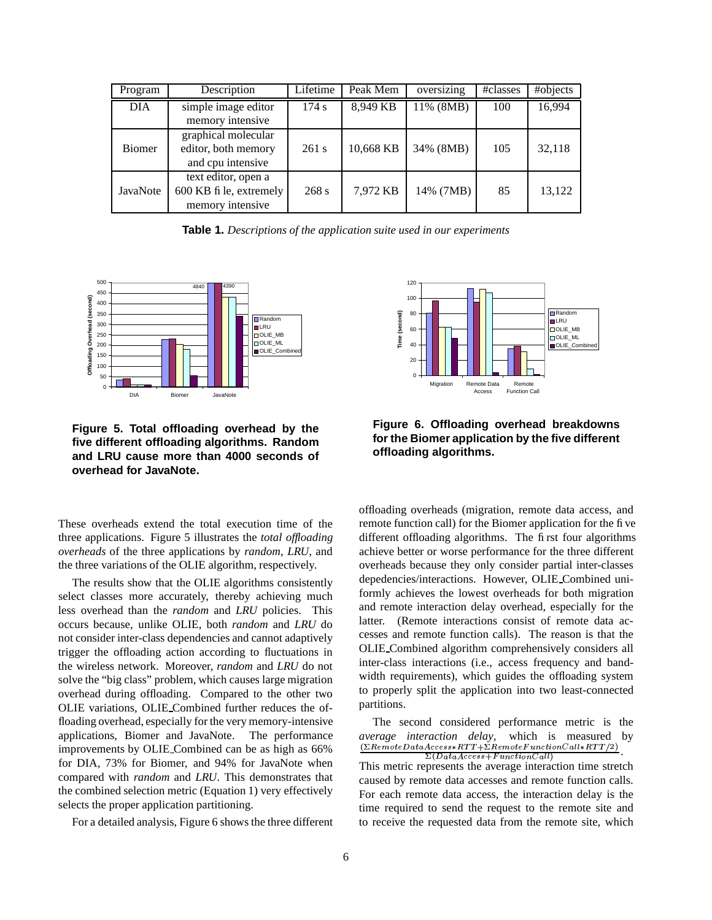| Program    | Description                                                        | Lifetime | Peak Mem  | oversizing | #classes | #objects |
|------------|--------------------------------------------------------------------|----------|-----------|------------|----------|----------|
| <b>DIA</b> | simple image editor<br>memory intensive                            | 174 s    | 8,949 KB  | 11% (8MB)  | 100      | 16,994   |
| Biomer     | graphical molecular<br>editor, both memory<br>and cpu intensive    | 261 s    | 10,668 KB | 34% (8MB)  | 105      | 32,118   |
| JavaNote   | text editor, open a<br>600 KB fi le, extremely<br>memory intensive | 268 s    | 7,972 KB  | 14% (7MB)  | 85       | 13,122   |

**Table 1.** *Descriptions of the application suite used in our experiments*



**Figure 5. Total offloading overhead by the five different offloading algorithms. Random and LRU cause more than 4000 seconds of overhead for JavaNote.**

These overheads extend the total execution time of the three applications. Figure 5 illustrates the *total offloading overheads* of the three applications by *random*, *LRU*, and the three variations of the OLIE algorithm, respectively.

The results show that the OLIE algorithms consistently select classes more accurately, thereby achieving much less overhead than the *random* and *LRU* policies. This occurs because, unlike OLIE, both *random* and *LRU* do not consider inter-class dependencies and cannot adaptively trigger the offloading action according to fluctuations in the wireless network. Moreover, *random* and *LRU* do not solve the "big class" problem, which causes large migration overhead during offloading. Compared to the other two OLIE variations, OLIE Combined further reduces the offloading overhead, especially for the very memory-intensive applications, Biomer and JavaNote. The performance improvements by OLIE Combined can be as high as 66% for DIA, 73% for Biomer, and 94% for JavaNote when compared with *random* and *LRU*. This demonstrates that the combined selection metric (Equation 1) very effectively selects the proper application partitioning.

For a detailed analysis, Figure 6 shows the three different





offloading overheads (migration, remote data access, and remote function call) for the Biomer application for the five different offloading algorithms. The first four algorithms achieve better or worse performance for the three different overheads because they only consider partial inter-classes depedencies/interactions. However, OLIE Combined uniformly achieves the lowest overheads for both migration and remote interaction delay overhead, especially for the latter. (Remote interactions consist of remote data accesses and remote function calls). The reason is that the OLIE Combined algorithm comprehensively considers all inter-class interactions (i.e., access frequency and bandwidth requirements), which guides the offloading system to properly split the application into two least-connected partitions.

The second considered performance metric is the *average interaction delay*, which is measured by <sup>K</sup>  $\frac{\left( \sum RemoteDataAccess+RTT + \sum RemoteFunctionCall+RTT/2 \right)}{\sum (Data Access+FunctionCall)}$  $\frac{1}{\sin A \cdot \cos A}$  Function Call

This metric represents the average interaction time stretch caused by remote data accesses and remote function calls. For each remote data access, the interaction delay is the time required to send the request to the remote site and to receive the requested data from the remote site, which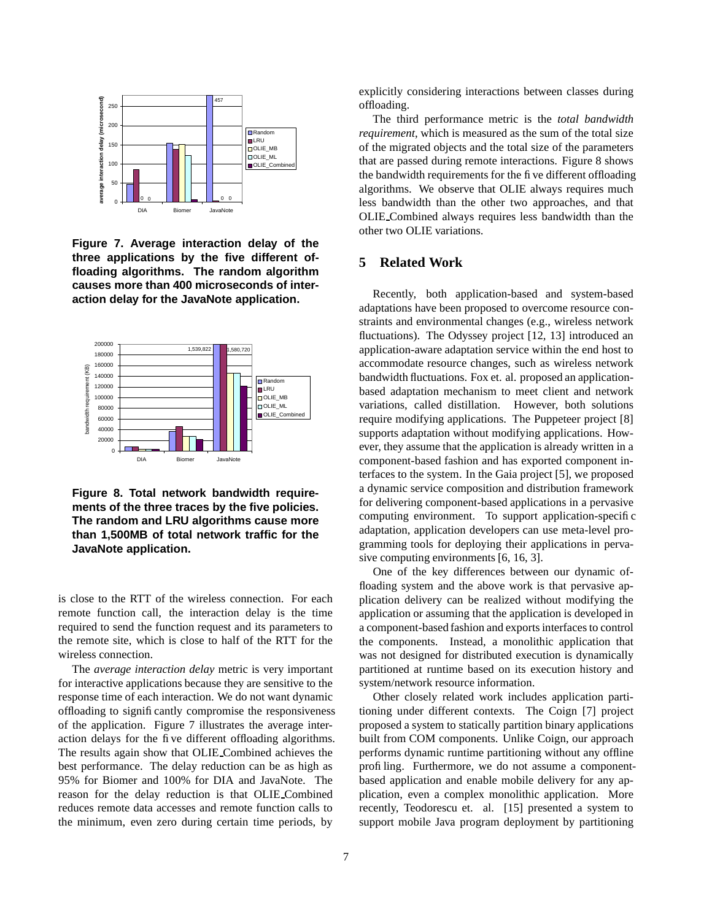

**Figure 7. Average interaction delay of the three applications by the five different offloading algorithms. The random algorithm causes more than 400 microseconds of interaction delay for the JavaNote application.**



**Figure 8. Total network bandwidth requirements of the three traces by the five policies. The random and LRU algorithms cause more than 1,500MB of total network traffic for the JavaNote application.**

is close to the RTT of the wireless connection. For each remote function call, the interaction delay is the time required to send the function request and its parameters to the remote site, which is close to half of the RTT for the wireless connection.

The *average interaction delay* metric is very important for interactive applications because they are sensitive to the response time of each interaction. We do not want dynamic offloading to significantly compromise the responsiveness of the application. Figure 7 illustrates the average interaction delays for the five different offloading algorithms. The results again show that OLIE Combined achieves the best performance. The delay reduction can be as high as 95% for Biomer and 100% for DIA and JavaNote. The reason for the delay reduction is that OLIE Combined reduces remote data accesses and remote function calls to the minimum, even zero during certain time periods, by

explicitly considering interactions between classes during offloading.

The third performance metric is the *total bandwidth requirement*, which is measured as the sum of the total size of the migrated objects and the total size of the parameters that are passed during remote interactions. Figure 8 shows the bandwidth requirements for the five different offloading algorithms. We observe that OLIE always requires much less bandwidth than the other two approaches, and that OLIE Combined always requires less bandwidth than the other two OLIE variations.

## **5 Related Work**

Recently, both application-based and system-based adaptations have been proposed to overcome resource constraints and environmental changes (e.g., wireless network fluctuations). The Odyssey project [12, 13] introduced an application-aware adaptation service within the end host to accommodate resource changes, such as wireless network bandwidth fluctuations. Fox et. al. proposed an applicationbased adaptation mechanism to meet client and network variations, called distillation. However, both solutions require modifying applications. The Puppeteer project [8] supports adaptation without modifying applications. However, they assume that the application is already written in a component-based fashion and has exported component interfaces to the system. In the Gaia project [5], we proposed a dynamic service composition and distribution framework for delivering component-based applications in a pervasive computing environment. To support application-specific adaptation, application developers can use meta-level programming tools for deploying their applications in pervasive computing environments [6, 16, 3].

One of the key differences between our dynamic offloading system and the above work is that pervasive application delivery can be realized without modifying the application or assuming that the application is developed in a component-based fashion and exportsinterfaces to control the components. Instead, a monolithic application that was not designed for distributed execution is dynamically partitioned at runtime based on its execution history and system/network resource information.

Other closely related work includes application partitioning under different contexts. The Coign [7] project proposed a system to statically partition binary applications built from COM components. Unlike Coign, our approach performs dynamic runtime partitioning without any offline profiling. Furthermore, we do not assume a componentbased application and enable mobile delivery for any application, even a complex monolithic application. More recently, Teodorescu et. al. [15] presented a system to support mobile Java program deployment by partitioning